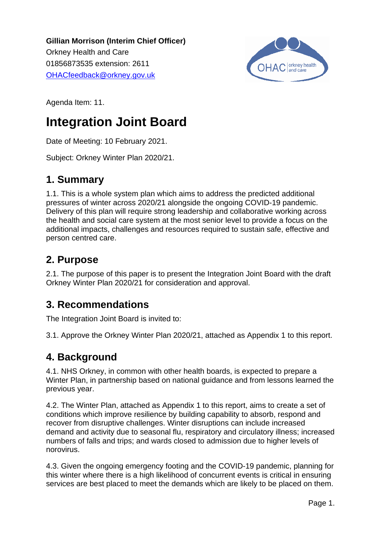**Gillian Morrison (Interim Chief Officer).** Orkney Health and Care. 01856873535 extension: 2611. [OHACfeedback@orkney.gov.uk](mailto:OHACfeedback@orkney.gov.uk)



Agenda Item: 11.

# **Integration Joint Board**

Date of Meeting: 10 February 2021.

Subject: Orkney Winter Plan 2020/21.

# **1. Summary**

1.1. This is a whole system plan which aims to address the predicted additional pressures of winter across 2020/21 alongside the ongoing COVID-19 pandemic. Delivery of this plan will require strong leadership and collaborative working across the health and social care system at the most senior level to provide a focus on the additional impacts, challenges and resources required to sustain safe, effective and person centred care.

# **2. Purpose**

2.1. The purpose of this paper is to present the Integration Joint Board with the draft Orkney Winter Plan 2020/21 for consideration and approval.

# **3. Recommendations**

The Integration Joint Board is invited to:

3.1. Approve the Orkney Winter Plan 2020/21, attached as Appendix 1 to this report.

# **4. Background**

4.1. NHS Orkney, in common with other health boards, is expected to prepare a Winter Plan, in partnership based on national guidance and from lessons learned the previous year.

4.2. The Winter Plan, attached as Appendix 1 to this report, aims to create a set of conditions which improve resilience by building capability to absorb, respond and recover from disruptive challenges. Winter disruptions can include increased demand and activity due to seasonal flu, respiratory and circulatory illness; increased numbers of falls and trips; and wards closed to admission due to higher levels of norovirus.

4.3. Given the ongoing emergency footing and the COVID-19 pandemic, planning for this winter where there is a high likelihood of concurrent events is critical in ensuring services are best placed to meet the demands which are likely to be placed on them.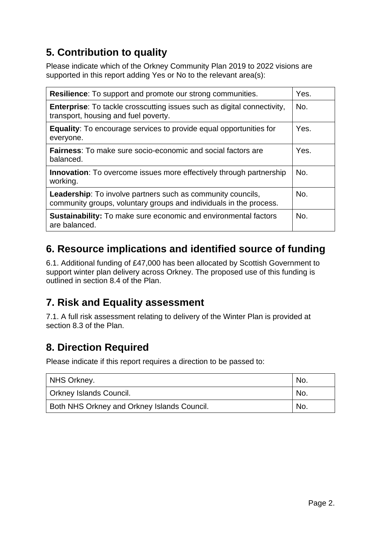# **5. Contribution to quality**

Please indicate which of the Orkney Community Plan 2019 to 2022 visions are supported in this report adding Yes or No to the relevant area(s):

| <b>Resilience:</b> To support and promote our strong communities.                                                                        |      |  |  |  |
|------------------------------------------------------------------------------------------------------------------------------------------|------|--|--|--|
| <b>Enterprise:</b> To tackle crosscutting issues such as digital connectivity,<br>transport, housing and fuel poverty.                   |      |  |  |  |
| <b>Equality:</b> To encourage services to provide equal opportunities for<br>everyone.                                                   | Yes. |  |  |  |
| <b>Fairness:</b> To make sure socio-economic and social factors are<br>balanced.                                                         | Yes. |  |  |  |
| <b>Innovation:</b> To overcome issues more effectively through partnership<br>working.                                                   | No.  |  |  |  |
| <b>Leadership:</b> To involve partners such as community councils,<br>community groups, voluntary groups and individuals in the process. |      |  |  |  |
| <b>Sustainability:</b> To make sure economic and environmental factors<br>are balanced.                                                  | No.  |  |  |  |

# **6. Resource implications and identified source of funding**

6.1. Additional funding of £47,000 has been allocated by Scottish Government to support winter plan delivery across Orkney. The proposed use of this funding is outlined in section 8.4 of the Plan.

# **7. Risk and Equality assessment**

7.1. A full risk assessment relating to delivery of the Winter Plan is provided at section 8.3 of the Plan.

# **8. Direction Required**

Please indicate if this report requires a direction to be passed to:

| NHS Orkney.                                 | <b>No</b> |
|---------------------------------------------|-----------|
| Orkney Islands Council.                     | <b>No</b> |
| Both NHS Orkney and Orkney Islands Council. | <b>No</b> |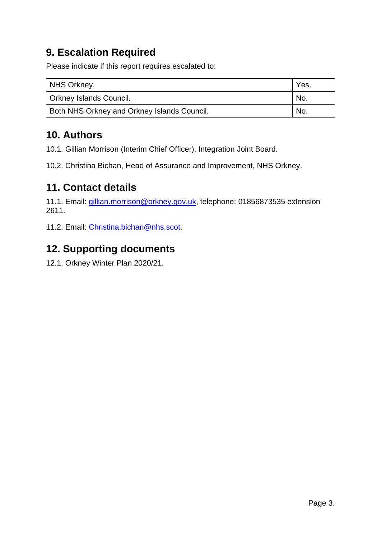# **9. Escalation Required**

Please indicate if this report requires escalated to:

| NHS Orkney.                                 | Yes. |
|---------------------------------------------|------|
| <b>Orkney Islands Council.</b>              | No.  |
| Both NHS Orkney and Orkney Islands Council. | No.  |

# **10. Authors**

10.1. Gillian Morrison (Interim Chief Officer), Integration Joint Board.

10.2. Christina Bichan, Head of Assurance and Improvement, NHS Orkney.

# **11. Contact details**

11.1. Email: [gillian.morrison@orkney.gov.uk,](mailto:gillian.morrison@orkney.gov.uk) telephone: 01856873535 extension 2611.

11.2. Email: [Christina.bichan@nhs.s](mailto:Christina.bichan@nhs.)cot.

# **12. Supporting documents**

12.1. Orkney Winter Plan 2020/21.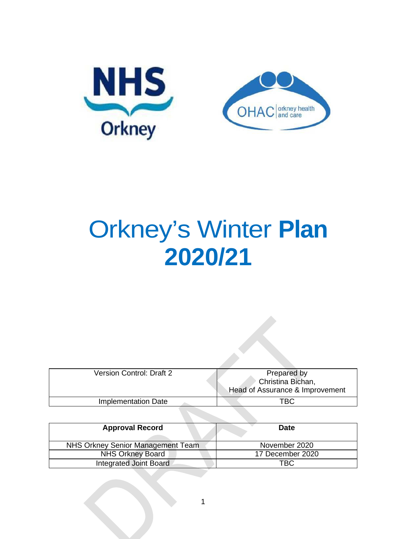

# Orkney's Winter **Plan 2020/21**

| <b>Version Control: Draft 2</b> | Prepared by<br>Christina Bichan,<br>Head of Assurance & Improvement |
|---------------------------------|---------------------------------------------------------------------|
| Implementation Date             | TBC                                                                 |

| <b>Approval Record</b>            | <b>Date</b>      |
|-----------------------------------|------------------|
| NHS Orkney Senior Management Team | November 2020    |
| <b>NHS Orkney Board</b>           | 17 December 2020 |
| <b>Integrated Joint Board</b>     | TBC              |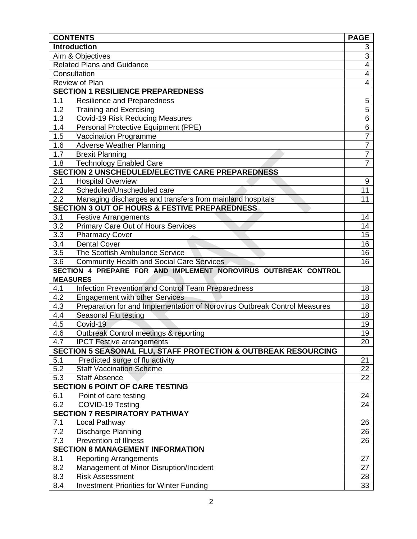|                           | <b>CONTENTS</b>                                                           | <b>PAGE</b>             |  |  |  |
|---------------------------|---------------------------------------------------------------------------|-------------------------|--|--|--|
|                           | <b>Introduction</b>                                                       | 3                       |  |  |  |
|                           | Aim & Objectives                                                          | $\overline{3}$          |  |  |  |
|                           | <b>Related Plans and Guidance</b>                                         | $\overline{4}$          |  |  |  |
|                           | Consultation                                                              | $\overline{\mathbf{4}}$ |  |  |  |
|                           | Review of Plan                                                            | $\overline{4}$          |  |  |  |
|                           | <b>SECTION 1 RESILIENCE PREPAREDNESS</b>                                  |                         |  |  |  |
| 1.1                       | Resilience and Preparedness                                               | 5                       |  |  |  |
| 1.2                       | <b>Training and Exercising</b>                                            | $\overline{5}$          |  |  |  |
| 1.3                       | <b>Covid-19 Risk Reducing Measures</b>                                    | $\overline{6}$          |  |  |  |
| 1.4                       | Personal Protective Equipment (PPE)                                       | 6                       |  |  |  |
| 1.5                       | Vaccination Programme                                                     | $\overline{7}$          |  |  |  |
| 1.6                       | <b>Adverse Weather Planning</b>                                           | $\overline{7}$          |  |  |  |
| 1.7                       | <b>Brexit Planning</b>                                                    | $\overline{7}$          |  |  |  |
| 1.8                       | <b>Technology Enabled Care</b>                                            | $\overline{7}$          |  |  |  |
|                           | <b>SECTION 2 UNSCHEDULED/ELECTIVE CARE PREPAREDNESS</b>                   |                         |  |  |  |
| 2.1                       | <b>Hospital Overview</b>                                                  | 9                       |  |  |  |
| 2.2                       | Scheduled/Unscheduled care                                                | 11                      |  |  |  |
| 2.2                       | Managing discharges and transfers from mainland hospitals                 | 11                      |  |  |  |
|                           | <b>SECTION 3 OUT OF HOURS &amp; FESTIVE PREPAREDNESS</b>                  |                         |  |  |  |
| 3.1                       | <b>Festive Arrangements</b>                                               | 14                      |  |  |  |
| 3.2                       | Primary Care Out of Hours Services                                        | 14                      |  |  |  |
| $\overline{3.3}$          | <b>Pharmacy Cover</b>                                                     | 15                      |  |  |  |
| 3.4                       | <b>Dental Cover</b>                                                       | 16                      |  |  |  |
| 3.5                       | The Scottish Ambulance Service                                            | 16                      |  |  |  |
| 3.6                       | <b>Community Health and Social Care Services</b>                          | 16                      |  |  |  |
|                           | SECTION 4 PREPARE FOR AND IMPLEMENT NOROVIRUS OUTBREAK CONTROL            |                         |  |  |  |
|                           | <b>MEASURES</b>                                                           |                         |  |  |  |
| 4.1                       | Infection Prevention and Control Team Preparedness                        | 18                      |  |  |  |
| 4.2                       | <b>Engagement with other Services</b>                                     | 18                      |  |  |  |
| 4.3                       | Preparation for and Implementation of Norovirus Outbreak Control Measures | 18                      |  |  |  |
| 4.4                       | Seasonal Flu testing                                                      | 18                      |  |  |  |
| 4.5                       | Covid-19                                                                  | 19                      |  |  |  |
| 4.6                       | Outbreak Control meetings & reporting                                     | 19                      |  |  |  |
| 4.7                       | <b>IPCT</b> Festive arrangements                                          | 20                      |  |  |  |
|                           | SECTION 5 SEASONAL FLU, STAFF PROTECTION & OUTBREAK RESOURCING            |                         |  |  |  |
| 5.1                       | Predicted surge of flu activity                                           | 21                      |  |  |  |
| 5.2                       | <b>Staff Vaccination Scheme</b>                                           | 22                      |  |  |  |
| $\overline{5.3}$          | <b>Staff Absence</b>                                                      | 22                      |  |  |  |
|                           | <b>SECTION 6 POINT OF CARE TESTING</b>                                    |                         |  |  |  |
| 6.1                       | Point of care testing                                                     | 24                      |  |  |  |
| 6.2                       | COVID-19 Testing                                                          | 24                      |  |  |  |
|                           | <b>SECTION 7 RESPIRATORY PATHWAY</b>                                      |                         |  |  |  |
| 7.1                       | Local Pathway                                                             | 26<br>26                |  |  |  |
| 7.2<br>Discharge Planning |                                                                           |                         |  |  |  |
| 7.3                       | <b>Prevention of Illness</b>                                              | 26                      |  |  |  |
|                           | <b>SECTION 8 MANAGEMENT INFORMATION</b>                                   |                         |  |  |  |
| 8.1                       | <b>Reporting Arrangements</b>                                             | 27                      |  |  |  |
| 8.2                       | Management of Minor Disruption/Incident                                   | 27                      |  |  |  |
| 8.3                       | <b>Risk Assessment</b>                                                    | 28                      |  |  |  |
| 8.4                       | <b>Investment Priorities for Winter Funding</b>                           | 33                      |  |  |  |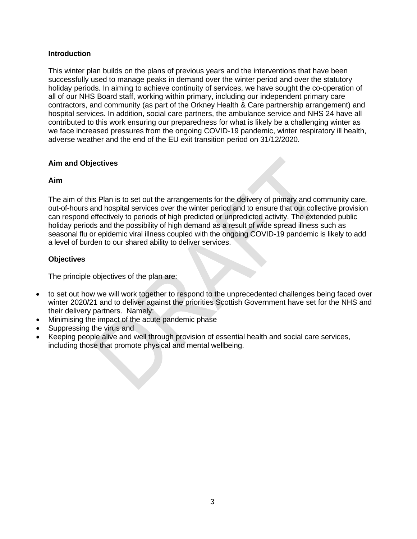#### **Introduction**

This winter plan builds on the plans of previous years and the interventions that have been successfully used to manage peaks in demand over the winter period and over the statutory holiday periods. In aiming to achieve continuity of services, we have sought the co-operation of all of our NHS Board staff, working within primary, including our independent primary care contractors, and community (as part of the Orkney Health & Care partnership arrangement) and hospital services. In addition, social care partners, the ambulance service and NHS 24 have all contributed to this work ensuring our preparedness for what is likely be a challenging winter as we face increased pressures from the ongoing COVID-19 pandemic, winter respiratory ill health, adverse weather and the end of the EU exit transition period on 31/12/2020.

#### **Aim and Objectives**

#### **Aim**

The aim of this Plan is to set out the arrangements for the delivery of primary and community care, out-of-hours and hospital services over the winter period and to ensure that our collective provision can respond effectively to periods of high predicted or unpredicted activity. The extended public holiday periods and the possibility of high demand as a result of wide spread illness such as seasonal flu or epidemic viral illness coupled with the ongoing COVID-19 pandemic is likely to add a level of burden to our shared ability to deliver services.

#### **Objectives**

The principle objectives of the plan are:

- to set out how we will work together to respond to the unprecedented challenges being faced over winter 2020/21 and to deliver against the priorities Scottish Government have set for the NHS and their delivery partners. Namely:
- Minimising the impact of the acute pandemic phase
- Suppressing the virus and
- Keeping people alive and well through provision of essential health and social care services, including those that promote physical and mental wellbeing.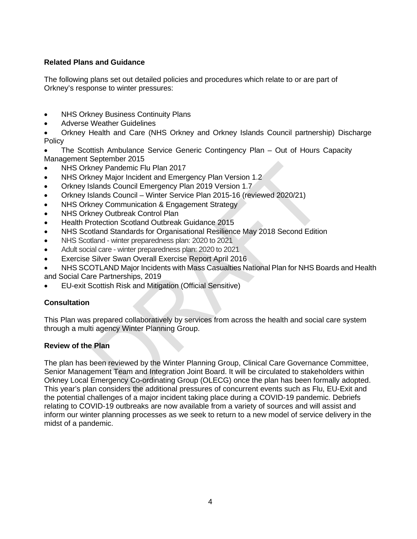# **Related Plans and Guidance**

The following plans set out detailed policies and procedures which relate to or are part of Orkney's response to winter pressures:

- NHS Orkney Business Continuity Plans
- Adverse Weather Guidelines

• Orkney Health and Care (NHS Orkney and Orkney Islands Council partnership) Discharge **Policy** 

- The Scottish Ambulance Service Generic Contingency Plan Out of Hours Capacity Management September 2015
- NHS Orkney Pandemic Flu Plan 2017
- NHS Orkney Major Incident and Emergency Plan Version 1.2
- Orkney Islands Council Emergency Plan 2019 Version 1.7
- Orkney Islands Council Winter Service Plan 2015-16 (reviewed 2020/21)
- NHS Orkney Communication & Engagement Strategy
- NHS Orkney Outbreak Control Plan
- Health Protection Scotland Outbreak Guidance 2015
- NHS Scotland Standards for Organisational Resilience May 2018 Second Edition
- NHS Scotland winter preparedness plan: 2020 to 2021
- Adult social care winter preparedness plan: 2020 to 2021
- Exercise Silver Swan Overall Exercise Report April 2016
- NHS SCOTLAND Major Incidents with Mass Casualties National Plan for NHS Boards and Health and Social Care Partnerships, 2019
- EU-exit Scottish Risk and Mitigation (Official Sensitive)

#### **Consultation**

This Plan was prepared collaboratively by services from across the health and social care system through a multi agency Winter Planning Group.

#### **Review of the Plan**

The plan has been reviewed by the Winter Planning Group, Clinical Care Governance Committee, Senior Management Team and Integration Joint Board. It will be circulated to stakeholders within Orkney Local Emergency Co-ordinating Group (OLECG) once the plan has been formally adopted. This year's plan considers the additional pressures of concurrent events such as Flu, EU-Exit and the potential challenges of a major incident taking place during a COVID-19 pandemic. Debriefs relating to COVID-19 outbreaks are now available from a variety of sources and will assist and inform our winter planning processes as we seek to return to a new model of service delivery in the midst of a pandemic.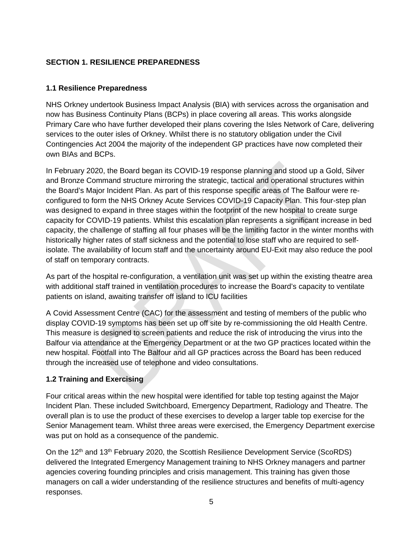# **SECTION 1. RESILIENCE PREPAREDNESS**

## **1.1 Resilience Preparedness**

NHS Orkney undertook Business Impact Analysis (BIA) with services across the organisation and now has Business Continuity Plans (BCPs) in place covering all areas. This works alongside Primary Care who have further developed their plans covering the Isles Network of Care, delivering services to the outer isles of Orkney. Whilst there is no statutory obligation under the Civil Contingencies Act 2004 the majority of the independent GP practices have now completed their own BIAs and BCPs.

In February 2020, the Board began its COVID-19 response planning and stood up a Gold, Silver and Bronze Command structure mirroring the strategic, tactical and operational structures within the Board's Major Incident Plan. As part of this response specific areas of The Balfour were reconfigured to form the NHS Orkney Acute Services COVID-19 Capacity Plan. This four-step plan was designed to expand in three stages within the footprint of the new hospital to create surge capacity for COVID-19 patients. Whilst this escalation plan represents a significant increase in bed capacity, the challenge of staffing all four phases will be the limiting factor in the winter months with historically higher rates of staff sickness and the potential to lose staff who are required to selfisolate. The availability of locum staff and the uncertainty around EU-Exit may also reduce the pool of staff on temporary contracts.

As part of the hospital re-configuration, a ventilation unit was set up within the existing theatre area with additional staff trained in ventilation procedures to increase the Board's capacity to ventilate patients on island, awaiting transfer off island to ICU facilities

A Covid Assessment Centre (CAC) for the assessment and testing of members of the public who display COVID-19 symptoms has been set up off site by re-commissioning the old Health Centre. This measure is designed to screen patients and reduce the risk of introducing the virus into the Balfour via attendance at the Emergency Department or at the two GP practices located within the new hospital. Footfall into The Balfour and all GP practices across the Board has been reduced through the increased use of telephone and video consultations.

# **1.2 Training and Exercising**

Four critical areas within the new hospital were identified for table top testing against the Major Incident Plan. These included Switchboard, Emergency Department, Radiology and Theatre. The overall plan is to use the product of these exercises to develop a larger table top exercise for the Senior Management team. Whilst three areas were exercised, the Emergency Department exercise was put on hold as a consequence of the pandemic.

On the  $12<sup>th</sup>$  and  $13<sup>th</sup>$  February 2020, the Scottish Resilience Development Service (ScoRDS) delivered the Integrated Emergency Management training to NHS Orkney managers and partner agencies covering founding principles and crisis management. This training has given those managers on call a wider understanding of the resilience structures and benefits of multi-agency responses.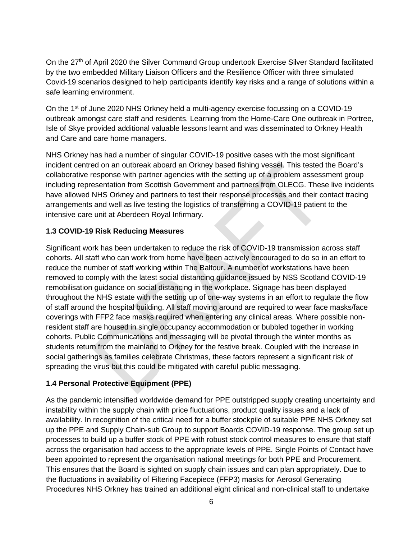On the 27<sup>th</sup> of April 2020 the Silver Command Group undertook Exercise Silver Standard facilitated by the two embedded Military Liaison Officers and the Resilience Officer with three simulated Covid-19 scenarios designed to help participants identify key risks and a range of solutions within a safe learning environment.

On the 1<sup>st</sup> of June 2020 NHS Orkney held a multi-agency exercise focussing on a COVID-19 outbreak amongst care staff and residents. Learning from the Home-Care One outbreak in Portree, Isle of Skye provided additional valuable lessons learnt and was disseminated to Orkney Health and Care and care home managers.

NHS Orkney has had a number of singular COVID-19 positive cases with the most significant incident centred on an outbreak aboard an Orkney based fishing vessel. This tested the Board's collaborative response with partner agencies with the setting up of a problem assessment group including representation from Scottish Government and partners from OLECG. These live incidents have allowed NHS Orkney and partners to test their response processes and their contact tracing arrangements and well as live testing the logistics of transferring a COVID-19 patient to the intensive care unit at Aberdeen Royal Infirmary.

# **1.3 COVID-19 Risk Reducing Measures**

Significant work has been undertaken to reduce the risk of COVID-19 transmission across staff cohorts. All staff who can work from home have been actively encouraged to do so in an effort to reduce the number of staff working within The Balfour. A number of workstations have been removed to comply with the latest social distancing guidance issued by NSS Scotland COVID-19 remobilisation guidance on social distancing in the workplace. Signage has been displayed throughout the NHS estate with the setting up of one-way systems in an effort to regulate the flow of staff around the hospital building. All staff moving around are required to wear face masks/face coverings with FFP2 face masks required when entering any clinical areas. Where possible nonresident staff are housed in single occupancy accommodation or bubbled together in working cohorts. Public Communications and messaging will be pivotal through the winter months as students return from the mainland to Orkney for the festive break. Coupled with the increase in social gatherings as families celebrate Christmas, these factors represent a significant risk of spreading the virus but this could be mitigated with careful public messaging.

# **1.4 Personal Protective Equipment (PPE)**

As the pandemic intensified worldwide demand for PPE outstripped supply creating uncertainty and instability within the supply chain with price fluctuations, product quality issues and a lack of availability. In recognition of the critical need for a buffer stockpile of suitable PPE NHS Orkney set up the PPE and Supply Chain-sub Group to support Boards COVID-19 response. The group set up processes to build up a buffer stock of PPE with robust stock control measures to ensure that staff across the organisation had access to the appropriate levels of PPE. Single Points of Contact have been appointed to represent the organisation national meetings for both PPE and Procurement. This ensures that the Board is sighted on supply chain issues and can plan appropriately. Due to the fluctuations in availability of Filtering Facepiece (FFP3) masks for Aerosol Generating Procedures NHS Orkney has trained an additional eight clinical and non-clinical staff to undertake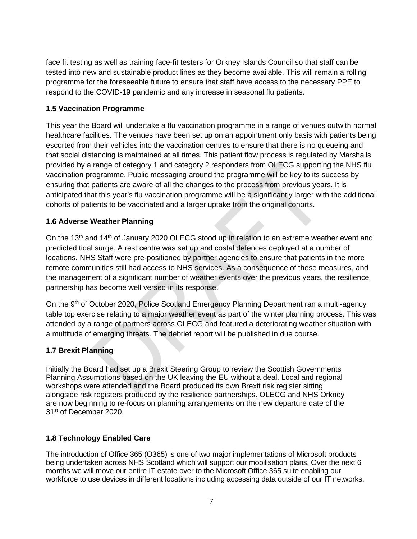face fit testing as well as training face-fit testers for Orkney Islands Council so that staff can be tested into new and sustainable product lines as they become available. This will remain a rolling programme for the foreseeable future to ensure that staff have access to the necessary PPE to respond to the COVID-19 pandemic and any increase in seasonal flu patients.

# **1.5 Vaccination Programme**

This year the Board will undertake a flu vaccination programme in a range of venues outwith normal healthcare facilities. The venues have been set up on an appointment only basis with patients being escorted from their vehicles into the vaccination centres to ensure that there is no queueing and that social distancing is maintained at all times. This patient flow process is regulated by Marshalls provided by a range of category 1 and category 2 responders from OLECG supporting the NHS flu vaccination programme. Public messaging around the programme will be key to its success by ensuring that patients are aware of all the changes to the process from previous years. It is anticipated that this year's flu vaccination programme will be a significantly larger with the additional cohorts of patients to be vaccinated and a larger uptake from the original cohorts.

# **1.6 Adverse Weather Planning**

On the 13<sup>th</sup> and 14<sup>th</sup> of January 2020 OLECG stood up in relation to an extreme weather event and predicted tidal surge. A rest centre was set up and costal defences deployed at a number of locations. NHS Staff were pre-positioned by partner agencies to ensure that patients in the more remote communities still had access to NHS services. As a consequence of these measures, and the management of a significant number of weather events over the previous years, the resilience partnership has become well versed in its response.

On the 9<sup>th</sup> of October 2020, Police Scotland Emergency Planning Department ran a multi-agency table top exercise relating to a major weather event as part of the winter planning process. This was attended by a range of partners across OLECG and featured a deteriorating weather situation with a multitude of emerging threats. The debrief report will be published in due course.

# **1.7 Brexit Planning**

Initially the Board had set up a Brexit Steering Group to review the Scottish Governments Planning Assumptions based on the UK leaving the EU without a deal. Local and regional workshops were attended and the Board produced its own Brexit risk register sitting alongside risk registers produced by the resilience partnerships. OLECG and NHS Orkney are now beginning to re-focus on planning arrangements on the new departure date of the 31st of December 2020.

# **1.8 Technology Enabled Care**

The introduction of Office 365 (O365) is one of two major implementations of Microsoft products being undertaken across NHS Scotland which will support our mobilisation plans. Over the next 6 months we will move our entire IT estate over to the Microsoft Office 365 suite enabling our workforce to use devices in different locations including accessing data outside of our IT networks.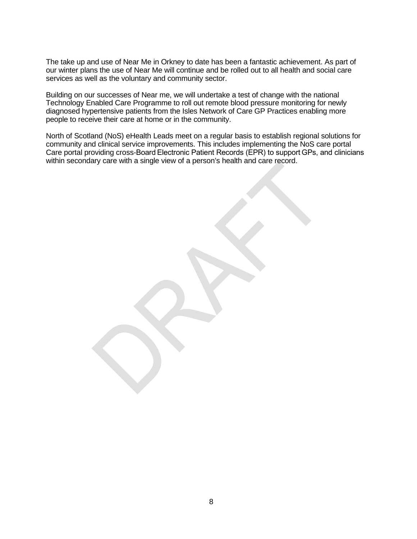The take up and use of Near Me in Orkney to date has been a fantastic achievement. As part of our winter plans the use of Near Me will continue and be rolled out to all health and social care services as well as the voluntary and community sector.

Building on our successes of Near me, we will undertake a test of change with the national Technology Enabled Care Programme to roll out remote blood pressure monitoring for newly diagnosed hypertensive patients from the Isles Network of Care GP Practices enabling more people to receive their care at home or in the community.

North of Scotland (NoS) eHealth Leads meet on a regular basis to establish regional solutions for community and clinical service improvements. This includes implementing the NoS care portal Care portal providing cross-Board Electronic Patient Records (EPR) to support GPs, and clinicians within secondary care with a single view of a person's health and care record.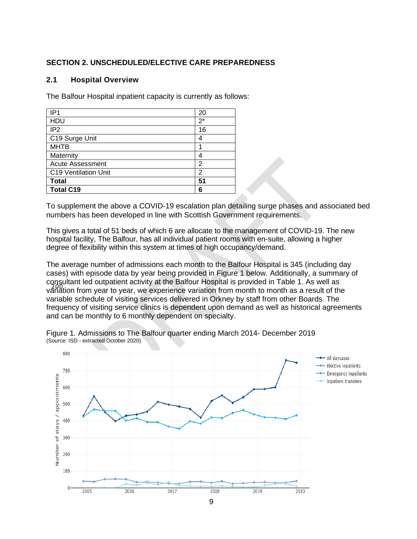## **SECTION 2. UNSCHEDULED/ELECTIVE CARE PREPAREDNESS**

#### **2.1 Hospital Overview**

The Balfour Hospital inpatient capacity is currently as follows:

| IP <sub>1</sub>         | 20    |
|-------------------------|-------|
| HDU                     | $2^*$ |
| IP <sub>2</sub>         | 16    |
| C19 Surge Unit          | 4     |
| <b>MHTB</b>             |       |
| Maternity               | 4     |
| <b>Acute Assessment</b> | 2     |
| C19 Ventilation Unit    | 2     |
| <b>Total</b>            | 51    |
| <b>Total C19</b>        | 6     |

To supplement the above a COVID-19 escalation plan detailing surge phases and associated bed numbers has been developed in line with Scottish Government requirements.

This gives a total of 51 beds of which 6 are allocate to the management of COVID-19. The new hospital facility, The Balfour, has all individual patient rooms with en-suite, allowing a higher degree of flexibility within this system at times of high occupancy/demand.

behavior from year to year, we experience variation from month to month as a result of the The average number of admissions each month to the Balfour Hospital is 345 (including day cases) with episode data by year being provided in Figure 1 below. Additionally, a summary of consultant led outpatient activity at the Balfour Hospital is provided in Table 1. As well as variable schedule of visiting services delivered in Orkney by staff from other Boards. The frequency of visiting service clinics is dependent upon demand as well as historical agreements and can be monthly to 6 monthly dependent on specialty.



Figure 1. Admissions to The Balfour quarter ending March 2014- December 2019 (Source: ISD - extracted October 2020)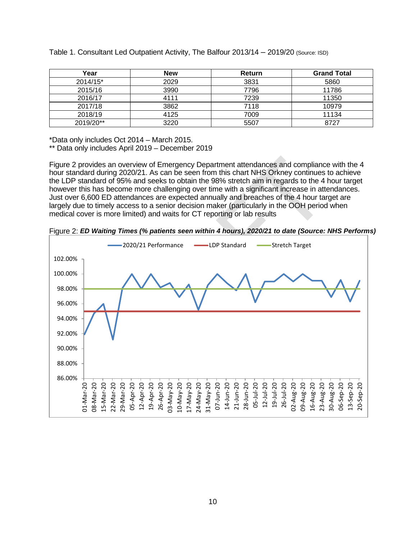| Year      | <b>New</b> | <b>Return</b> | <b>Grand Total</b> |
|-----------|------------|---------------|--------------------|
| 2014/15*  | 2029       | 3831          | 5860               |
| 2015/16   | 3990       | 7796          | 11786              |
| 2016/17   | 4111       | 7239          | 11350              |
| 2017/18   | 3862       | 7118          | 10979              |
| 2018/19   | 4125       | 7009          | 11134              |
| 2019/20** | 3220       | 5507          | 8727               |

Table 1. Consultant Led Outpatient Activity, The Balfour 2013/14 – 2019/20 (Source: ISD)

\*Data only includes Oct 2014 – March 2015.

\*\* Data only includes April 2019 – December 2019

Figure 2 provides an overview of Emergency Department attendances and compliance with the 4 hour standard during 2020/21. As can be seen from this chart NHS Orkney continues to achieve the LDP standard of 95% and seeks to obtain the 98% stretch aim in regards to the 4 hour target however this has become more challenging over time with a significant increase in attendances. Just over 6,600 ED attendances are expected annually and breaches of the 4 hour target are largely due to timely access to a senior decision maker (particularly in the OOH period when medical cover is more limited) and waits for CT reporting or lab results



Figure 2: *ED Waiting Times (% patients seen within 4 hours), 2020/21 to date (Source: NHS Performs)*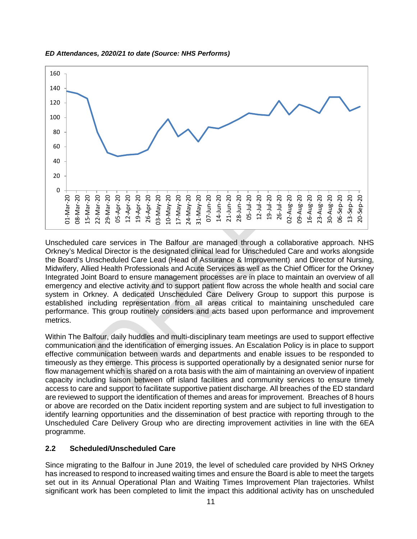

#### *ED Attendances, 2020/21 to date (Source: NHS Performs)*

Unscheduled care services in The Balfour are managed through a collaborative approach. NHS Orkney's Medical Director is the designated clinical lead for Unscheduled Care and works alongside the Board's Unscheduled Care Lead (Head of Assurance & Improvement) and Director of Nursing, Midwifery, Allied Health Professionals and Acute Services as well as the Chief Officer for the Orkney Integrated Joint Board to ensure management processes are in place to maintain an overview of all emergency and elective activity and to support patient flow across the whole health and social care system in Orkney. A dedicated Unscheduled Care Delivery Group to support this purpose is established including representation from all areas critical to maintaining unscheduled care performance. This group routinely considers and acts based upon performance and improvement metrics.

Within The Balfour, daily huddles and multi-disciplinary team meetings are used to support effective communication and the identification of emerging issues. An Escalation Policy is in place to support effective communication between wards and departments and enable issues to be responded to timeously as they emerge. This process is supported operationally by a designated senior nurse for flow management which is shared on a rota basis with the aim of maintaining an overview of inpatient capacity including liaison between off island facilities and community services to ensure timely access to care and support to facilitate supportive patient discharge. All breaches of the ED standard are reviewed to support the identification of themes and areas for improvement. Breaches of 8 hours or above are recorded on the Datix incident reporting system and are subject to full investigation to identify learning opportunities and the dissemination of best practice with reporting through to the Unscheduled Care Delivery Group who are directing improvement activities in line with the 6EA programme.

#### **2.2 Scheduled/Unscheduled Care**

Since migrating to the Balfour in June 2019, the level of scheduled care provided by NHS Orkney has increased to respond to increased waiting times and ensure the Board is able to meet the targets set out in its Annual Operational Plan and Waiting Times Improvement Plan trajectories. Whilst significant work has been completed to limit the impact this additional activity has on unscheduled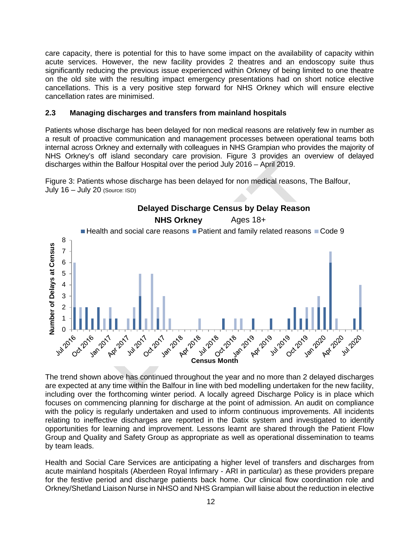care capacity, there is potential for this to have some impact on the availability of capacity within acute services. However, the new facility provides 2 theatres and an endoscopy suite thus significantly reducing the previous issue experienced within Orkney of being limited to one theatre on the old site with the resulting impact emergency presentations had on short notice elective cancellations. This is a very positive step forward for NHS Orkney which will ensure elective cancellation rates are minimised.

#### **2.3 Managing discharges and transfers from mainland hospitals**

Patients whose discharge has been delayed for non medical reasons are relatively few in number as a result of proactive communication and management processes between operational teams both internal across Orkney and externally with colleagues in NHS Grampian who provides the majority of NHS Orkney's off island secondary care provision. Figure 3 provides an overview of delayed discharges within the Balfour Hospital over the period July 2016 – April 2019.

Figure 3: Patients whose discharge has been delayed for non medical reasons, The Balfour, July 16 – July 20 (Source: ISD)



The trend shown above has continued throughout the year and no more than 2 delayed discharges are expected at any time within the Balfour in line with bed modelling undertaken for the new facility, including over the forthcoming winter period. A locally agreed Discharge Policy is in place which focuses on commencing planning for discharge at the point of admission. An audit on compliance with the policy is regularly undertaken and used to inform continuous improvements. All incidents relating to ineffective discharges are reported in the Datix system and investigated to identify opportunities for learning and improvement. Lessons learnt are shared through the Patient Flow Group and Quality and Safety Group as appropriate as well as operational dissemination to teams by team leads.

Health and Social Care Services are anticipating a higher level of transfers and discharges from acute mainland hospitals (Aberdeen Royal Infirmary - ARI in particular) as these providers prepare for the festive period and discharge patients back home. Our clinical flow coordination role and Orkney/Shetland Liaison Nurse in NHSO and NHS Grampian will liaise about the reduction in elective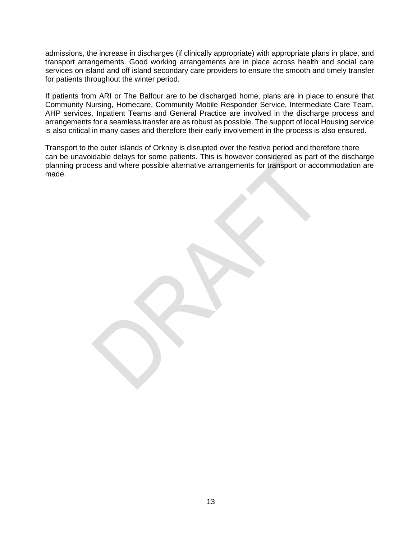admissions, the increase in discharges (if clinically appropriate) with appropriate plans in place, and transport arrangements. Good working arrangements are in place across health and social care services on island and off island secondary care providers to ensure the smooth and timely transfer for patients throughout the winter period.

If patients from ARI or The Balfour are to be discharged home, plans are in place to ensure that Community Nursing, Homecare, Community Mobile Responder Service, Intermediate Care Team, AHP services, Inpatient Teams and General Practice are involved in the discharge process and arrangements for a seamless transfer are as robust as possible. The support of local Housing service is also critical in many cases and therefore their early involvement in the process is also ensured.

Transport to the outer islands of Orkney is disrupted over the festive period and therefore there can be unavoidable delays for some patients. This is however considered as part of the discharge planning process and where possible alternative arrangements for transport or accommodation are made.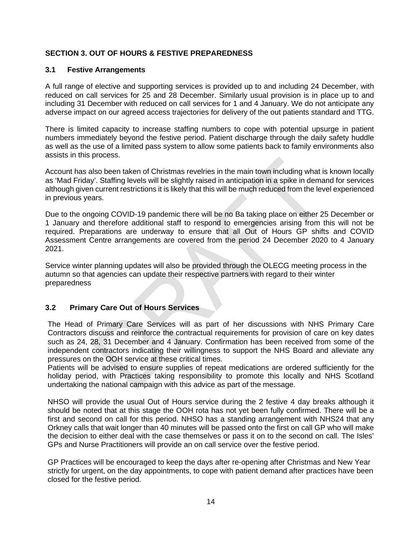## **SECTION 3. OUT OF HOURS & FESTIVE PREPAREDNESS**

#### **3.1 Festive Arrangements**

A full range of elective and supporting services is provided up to and including 24 December, with reduced on call services for 25 and 28 December. Similarly usual provision is in place up to and including 31 December with reduced on call services for 1 and 4 January. We do not anticipate any adverse impact on our agreed access trajectories for delivery of the out patients standard and TTG.

There is limited capacity to increase staffing numbers to cope with potential upsurge in patient numbers immediately beyond the festive period. Patient discharge through the daily safety huddle as well as the use of a limited pass system to allow some patients back to family environments also assists in this process.

Account has also been taken of Christmas revelries in the main town including what is known locally as 'Mad Friday'. Staffing levels will be slightly raised in anticipation in a spike in demand for services although given current restrictions it is likely that this will be much reduced from the level experienced in previous years.

Due to the ongoing COVID-19 pandemic there will be no Ba taking place on either 25 December or 1 January and therefore additional staff to respond to emergencies arising from this will not be required. Preparations are underway to ensure that all Out of Hours GP shifts and COVID Assessment Centre arrangements are covered from the period 24 December 2020 to 4 January 2021.

Service winter planning updates will also be provided through the OLECG meeting process in the autumn so that agencies can update their respective partners with regard to their winter preparedness

#### **3.2 Primary Care Out of Hours Services**

The Head of Primary Care Services will as part of her discussions with NHS Primary Care Contractors discuss and reinforce the contractual requirements for provision of care on key dates such as 24, 28, 31 December and 4 January. Confirmation has been received from some of the independent contractors indicating their willingness to support the NHS Board and alleviate any pressures on the OOH service at these critical times.

Patients will be advised to ensure supplies of repeat medications are ordered sufficiently for the holiday period, with Practices taking responsibility to promote this locally and NHS Scotland undertaking the national campaign with this advice as part of the message.

NHSO will provide the usual Out of Hours service during the 2 festive 4 day breaks although it should be noted that at this stage the OOH rota has not yet been fully confirmed. There will be a first and second on call for this period. NHSO has a standing arrangement with NHS24 that any Orkney calls that wait longer than 40 minutes will be passed onto the first on call GP who will make the decision to either deal with the case themselves or pass it on to the second on call. The Isles' GPs and Nurse Practitioners will provide an on call service over the festive period.

GP Practices will be encouraged to keep the days after re-opening after Christmas and New Year strictly for urgent, on the day appointments, to cope with patient demand after practices have been closed for the festive period.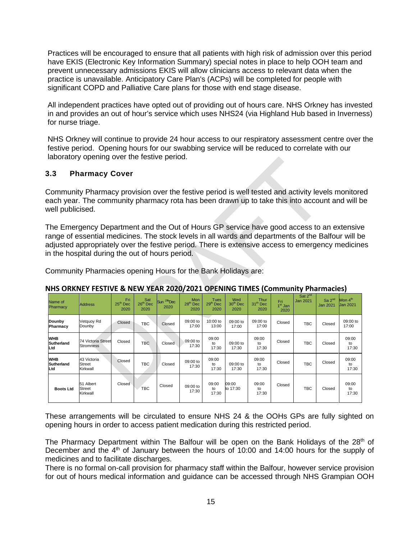Practices will be encouraged to ensure that all patients with high risk of admission over this period have EKIS (Electronic Key Information Summary) special notes in place to help OOH team and prevent unnecessary admissions EKIS will allow clinicians access to relevant data when the practice is unavailable. Anticipatory Care Plan's (ACPs) will be completed for people with significant COPD and Palliative Care plans for those with end stage disease.

All independent practices have opted out of providing out of hours care. NHS Orkney has invested in and provides an out of hour's service which uses NHS24 (via Highland Hub based in Inverness) for nurse triage.

NHS Orkney will continue to provide 24 hour access to our respiratory assessment centre over the festive period. Opening hours for our swabbing service will be reduced to correlate with our laboratory opening over the festive period.

# **3.3 Pharmacy Cover**

Community Pharmacy provision over the festive period is well tested and activity levels monitored each year. The community pharmacy rota has been drawn up to take this into account and will be well publicised.

The Emergency Department and the Out of Hours GP service have good access to an extensive range of essential medicines. The stock levels in all wards and departments of the Balfour will be adjusted appropriately over the festive period. There is extensive access to emergency medicines in the hospital during the out of hours period.

Community Pharmacies opening Hours for the Bank Holidays are:

| Name of<br><b>Pharmacy</b>      | <b>Address</b>                           | Fri<br>$25th$ Dec<br>2020 | Sat<br>26 <sup>th</sup> Dec<br>2020 | Sun <sup>27th</sup> Dec<br>2020 | <b>Mon</b><br>28 <sup>th</sup> Dec<br>2020 | Tues<br>29 <sup>th</sup> Dec<br>2020 | Wed<br>30 <sup>th</sup> Dec<br>2020 | <b>Thur</b><br>31 <sup>th</sup> Dec<br>2020 | Fri<br>1 <sup>st</sup> Jan<br>2020 | Sat 2 <sup>nd</sup><br><b>Jan 2021</b> | Sa 2 <sup>nd</sup><br><b>Jan 2021</b> | Mon 4 <sup>th</sup><br><b>Jan 2021</b> |
|---------------------------------|------------------------------------------|---------------------------|-------------------------------------|---------------------------------|--------------------------------------------|--------------------------------------|-------------------------------------|---------------------------------------------|------------------------------------|----------------------------------------|---------------------------------------|----------------------------------------|
| Dounby<br>Pharmacy              | Vetquoy Rd<br>Dounby                     | Closed                    | TBC                                 | Closed                          | 09:00 to<br>17:00                          | 10:00 to<br>13:00                    | 09:00 to<br>17:00                   | 09:00 to<br>17:00                           | Closed                             | <b>TBC</b>                             | Closed                                | 09:00 to<br>17:00                      |
| <b>WHB</b><br>Sutherland<br>Ltd | 74 Victoria Street<br><b>Stromness</b>   | Closed                    | <b>TBC</b>                          | Closed                          | 09:00 to<br>17:30                          | 09:00<br>to<br>17:30                 | 09:00 to<br>17:30                   | 09:00<br>to<br>17:30                        | Closed                             | <b>TBC</b>                             | Closed                                | 09:00<br>to<br>17:30                   |
| <b>WHB</b><br>Sutherland<br>Ltd | 43 Victoria<br><b>Street</b><br>Kirkwall | Closed                    | <b>TBC</b>                          | Closed                          | 09:00 to<br>17:30                          | 09:00<br>to<br>17:30                 | 09:00 to<br>17:30                   | 09:00<br>to<br>17:30                        | Closed                             | <b>TBC</b>                             | Closed                                | 09:00<br>to<br>17:30                   |
| <b>Boots Ltd</b>                | 51 Albert<br><b>Street</b><br>Kirkwall   | Closed                    | <b>TBC</b>                          | Closed                          | 09:00 to<br>17:30                          | 09:00<br>to<br>17:30                 | 09:00<br>to 17:30                   | 09:00<br>to<br>17:30                        | Closed                             | <b>TBC</b>                             | Closed                                | 09:00<br>to<br>17:30                   |

#### **NHS ORKNEY FESTIVE & NEW YEAR 2020/2021 OPENING TIMES (Community Pharmacies)**

These arrangements will be circulated to ensure NHS 24 & the OOHs GPs are fully sighted on opening hours in order to access patient medication during this restricted period.

The Pharmacy Department within The Balfour will be open on the Bank Holidays of the 28<sup>th</sup> of December and the 4<sup>th</sup> of January between the hours of 10:00 and 14:00 hours for the supply of medicines and to facilitate discharges.

There is no formal on-call provision for pharmacy staff within the Balfour, however service provision for out of hours medical information and guidance can be accessed through NHS Grampian OOH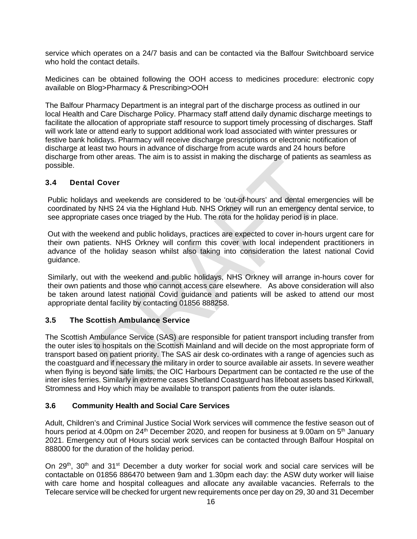service which operates on a 24/7 basis and can be contacted via the Balfour Switchboard service who hold the contact details.

Medicines can be obtained following the OOH access to medicines procedure: electronic copy available on Blog>Pharmacy & Prescribing>OOH

The Balfour Pharmacy Department is an integral part of the discharge process as outlined in our local Health and Care Discharge Policy. Pharmacy staff attend daily dynamic discharge meetings to facilitate the allocation of appropriate staff resource to support timely processing of discharges. Staff will work late or attend early to support additional work load associated with winter pressures or festive bank holidays. Pharmacy will receive discharge prescriptions or electronic notification of discharge at least two hours in advance of discharge from acute wards and 24 hours before discharge from other areas. The aim is to assist in making the discharge of patients as seamless as possible.

# **3.4 Dental Cover**

Public holidays and weekends are considered to be 'out-of-hours' and dental emergencies will be coordinated by NHS 24 via the Highland Hub. NHS Orkney will run an emergency dental service, to see appropriate cases once triaged by the Hub. The rota for the holiday period is in place.

Out with the weekend and public holidays, practices are expected to cover in-hours urgent care for their own patients. NHS Orkney will confirm this cover with local independent practitioners in advance of the holiday season whilst also taking into consideration the latest national Covid guidance.

Similarly, out with the weekend and public holidays, NHS Orkney will arrange in-hours cover for their own patients and those who cannot access care elsewhere. As above consideration will also be taken around latest national Covid guidance and patients will be asked to attend our most appropriate dental facility by contacting 01856 888258.

# **3.5 The Scottish Ambulance Service**

The Scottish Ambulance Service (SAS) are responsible for patient transport including transfer from the outer isles to hospitals on the Scottish Mainland and will decide on the most appropriate form of transport based on patient priority. The SAS air desk co-ordinates with a range of agencies such as the coastguard and if necessary the military in order to source available air assets. In severe weather when flying is beyond safe limits, the OIC Harbours Department can be contacted re the use of the inter isles ferries. Similarly in extreme cases Shetland Coastguard has lifeboat assets based Kirkwall, Stromness and Hoy which may be available to transport patients from the outer islands.

#### **3.6 Community Health and Social Care Services**

Adult, Children's and Criminal Justice Social Work services will commence the festive season out of hours period at 4.00pm on 24<sup>th</sup> December 2020, and reopen for business at 9.00am on 5<sup>th</sup> January 2021. Emergency out of Hours social work services can be contacted through Balfour Hospital on 888000 for the duration of the holiday period.

On  $29<sup>th</sup>$ ,  $30<sup>th</sup>$  and  $31<sup>st</sup>$  December a duty worker for social work and social care services will be contactable on 01856 886470 between 9am and 1.30pm each day: the ASW duty worker will liaise with care home and hospital colleagues and allocate any available vacancies. Referrals to the Telecare service will be checked for urgent new requirements once per day on 29, 30 and 31 December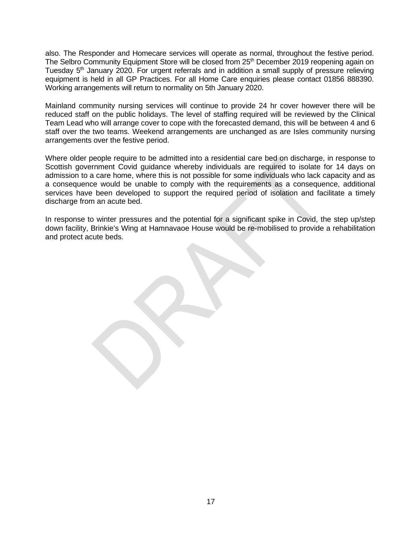also. The Responder and Homecare services will operate as normal, throughout the festive period. The Selbro Community Equipment Store will be closed from 25<sup>th</sup> December 2019 reopening again on Tuesday 5<sup>th</sup> January 2020. For urgent referrals and in addition a small supply of pressure relieving equipment is held in all GP Practices. For all Home Care enquiries please contact 01856 888390. Working arrangements will return to normality on 5th January 2020.

Mainland community nursing services will continue to provide 24 hr cover however there will be reduced staff on the public holidays. The level of staffing required will be reviewed by the Clinical Team Lead who will arrange cover to cope with the forecasted demand, this will be between 4 and 6 staff over the two teams. Weekend arrangements are unchanged as are Isles community nursing arrangements over the festive period.

Where older people require to be admitted into a residential care bed on discharge, in response to Scottish government Covid guidance whereby individuals are required to isolate for 14 days on admission to a care home, where this is not possible for some individuals who lack capacity and as a consequence would be unable to comply with the requirements as a consequence, additional services have been developed to support the required period of isolation and facilitate a timely discharge from an acute bed.

In response to winter pressures and the potential for a significant spike in Covid, the step up/step down facility, Brinkie's Wing at Hamnavaoe House would be re-mobilised to provide a rehabilitation and protect acute beds.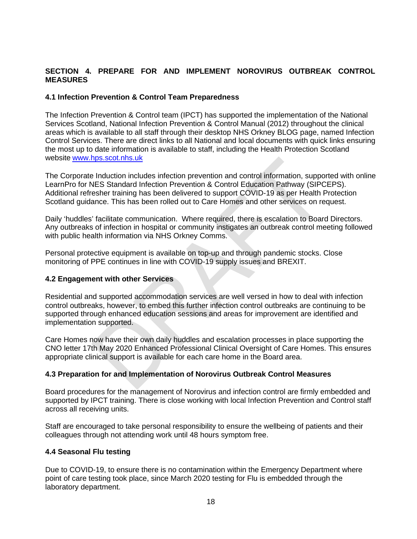# **SECTION 4. PREPARE FOR AND IMPLEMENT NOROVIRUS OUTBREAK CONTROL MEASURES**

#### **4.1 Infection Prevention & Control Team Preparedness**

The Infection Prevention & Control team (IPCT) has supported the implementation of the National Services Scotland, National Infection Prevention & Control Manual (2012) throughout the clinical areas which is available to all staff through their desktop NHS Orkney BLOG page, named Infection Control Services. There are direct links to all National and local documents with quick links ensuring the most up to date information is available to staff, including the Health Protection Scotland website [www.hps.scot.nhs.uk](http://www.hps.scot.nhs.uk/)

The Corporate Induction includes infection prevention and control information, supported with online LearnPro for NES Standard Infection Prevention & Control Education Pathway (SIPCEPS). Additional refresher training has been delivered to support COVID-19 as per Health Protection Scotland guidance. This has been rolled out to Care Homes and other services on request.

Daily 'huddles' facilitate communication. Where required, there is escalation to Board Directors. Any outbreaks of infection in hospital or community instigates an outbreak control meeting followed with public health information via NHS Orkney Comms.

Personal protective equipment is available on top-up and through pandemic stocks. Close monitoring of PPE continues in line with COVID-19 supply issues and BREXIT.

#### **4.2 Engagement with other Services**

Residential and supported accommodation services are well versed in how to deal with infection control outbreaks, however, to embed this further infection control outbreaks are continuing to be supported through enhanced education sessions and areas for improvement are identified and implementation supported.

Care Homes now have their own daily huddles and escalation processes in place supporting the CNO letter 17th May 2020 Enhanced Professional Clinical Oversight of Care Homes. This ensures appropriate clinical support is available for each care home in the Board area.

#### **4.3 Preparation for and Implementation of Norovirus Outbreak Control Measures**

Board procedures for the management of Norovirus and infection control are firmly embedded and supported by IPCT training. There is close working with local Infection Prevention and Control staff across all receiving units.

Staff are encouraged to take personal responsibility to ensure the wellbeing of patients and their colleagues through not attending work until 48 hours symptom free.

#### **4.4 Seasonal Flu testing**

Due to COVID-19, to ensure there is no contamination within the Emergency Department where point of care testing took place, since March 2020 testing for Flu is embedded through the laboratory department.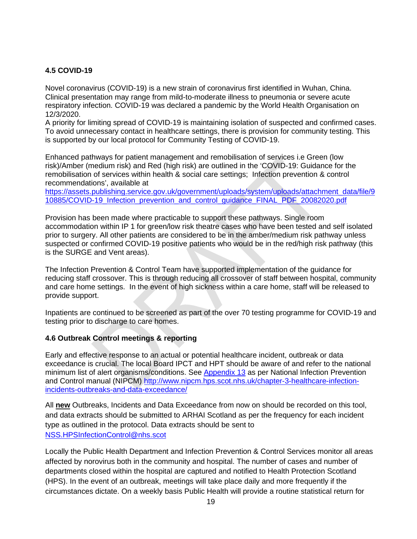# **4.5 COVID-19**

Novel coronavirus (COVID-19) is a new strain of coronavirus first identified in Wuhan, China. Clinical presentation may range from mild-to-moderate illness to pneumonia or severe acute respiratory infection. COVID-19 was declared a pandemic by the World Health Organisation on 12/3/2020.

A priority for limiting spread of COVID-19 is maintaining isolation of suspected and confirmed cases. To avoid unnecessary contact in healthcare settings, there is provision for community testing. This is supported by our local protocol for Community Testing of COVID-19.

Enhanced pathways for patient management and remobilisation of services i.e Green (low risk)/Amber (medium risk) and Red (high risk) are outlined in the 'COVID-19: Guidance for the remobilisation of services within health & social care settings; Infection prevention & control recommendations', available at

[https://assets.publishing.service.gov.uk/government/uploads/system/uploads/attachment\\_data/file/9](https://assets.publishing.service.gov.uk/government/uploads/system/uploads/attachment_data/file/910885/COVID-19_Infection_prevention_and_control_guidance_FINAL_PDF_20082020.pdf) [10885/COVID-19\\_Infection\\_prevention\\_and\\_control\\_guidance\\_FINAL\\_PDF\\_20082020.pdf](https://assets.publishing.service.gov.uk/government/uploads/system/uploads/attachment_data/file/910885/COVID-19_Infection_prevention_and_control_guidance_FINAL_PDF_20082020.pdf)

Provision has been made where practicable to support these pathways. Single room accommodation within IP 1 for green/low risk theatre cases who have been tested and self isolated prior to surgery. All other patients are considered to be in the amber/medium risk pathway unless suspected or confirmed COVID-19 positive patients who would be in the red/high risk pathway (this is the SURGE and Vent areas).

The Infection Prevention & Control Team have supported implementation of the guidance for reducing staff crossover. This is through reducing all crossover of staff between hospital, community and care home settings. In the event of high sickness within a care home, staff will be released to provide support.

Inpatients are continued to be screened as part of the over 70 testing programme for COVID-19 and testing prior to discharge to care homes.

#### **4.6 Outbreak Control meetings & reporting**

Early and effective response to an actual or potential healthcare incident, outbreak or data exceedance is crucial. The local Board IPCT and HPT should be aware of and refer to the national minimum list of alert organisms/conditions. See [Appendix 13](http://www.nipcm.hps.scot.nhs.uk/appendices/appendix-13-mandatory-nhsscotland-alert-organismcondition-list/) as per National Infection Prevention and Control manual (NIPCM) [http://www.nipcm.hps.scot.nhs.uk/chapter-3-healthcare-infection](http://www.nipcm.hps.scot.nhs.uk/chapter-3-healthcare-infection-incidents-outbreaks-and-data-exceedance/)[incidents-outbreaks-and-data-exceedance/](http://www.nipcm.hps.scot.nhs.uk/chapter-3-healthcare-infection-incidents-outbreaks-and-data-exceedance/)

All **new** Outbreaks, Incidents and Data Exceedance from now on should be recorded on this tool, and data extracts should be submitted to ARHAI Scotland as per the frequency for each incident type as outlined in the protocol. Data extracts should be sent to [NSS.HPSInfectionControl@nhs.scot](mailto:NSS.HPSInfectionControl@nhs.scot)

Locally the Public Health Department and Infection Prevention & Control Services monitor all areas affected by norovirus both in the community and hospital. The number of cases and number of departments closed within the hospital are captured and notified to Health Protection Scotland (HPS). In the event of an outbreak, meetings will take place daily and more frequently if the circumstances dictate. On a weekly basis Public Health will provide a routine statistical return for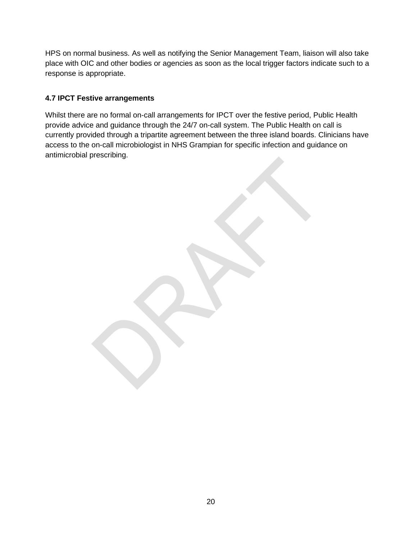HPS on normal business. As well as notifying the Senior Management Team, liaison will also take place with OIC and other bodies or agencies as soon as the local trigger factors indicate such to a response is appropriate.

# **4.7 IPCT Festive arrangements**

Whilst there are no formal on-call arrangements for IPCT over the festive period, Public Health provide advice and guidance through the 24/7 on-call system. The Public Health on call is currently provided through a tripartite agreement between the three island boards. Clinicians have access to the on-call microbiologist in NHS Grampian for specific infection and guidance on antimicrobial prescribing.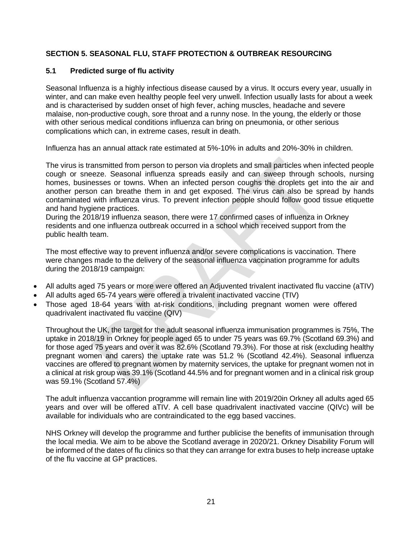# **SECTION 5. SEASONAL FLU, STAFF PROTECTION & OUTBREAK RESOURCING**

## **5.1 Predicted surge of flu activity**

Seasonal Influenza is a highly infectious disease caused by a virus. It occurs every year, usually in winter, and can make even healthy people feel very unwell. Infection usually lasts for about a week and is characterised by sudden onset of high fever, aching muscles, headache and severe malaise, non-productive cough, sore throat and a runny nose. In the young, the elderly or those with other serious medical conditions influenza can bring on pneumonia, or other serious complications which can, in extreme cases, result in death.

Influenza has an annual attack rate estimated at 5%-10% in adults and 20%-30% in children.

The virus is transmitted from person to person via droplets and small particles when infected people cough or sneeze. Seasonal influenza spreads easily and can sweep through schools, nursing homes, businesses or towns. When an infected person coughs the droplets get into the air and another person can breathe them in and get exposed. The virus can also be spread by hands contaminated with influenza virus. To prevent infection people should follow good tissue etiquette and hand hygiene practices.

During the 2018/19 influenza season, there were 17 confirmed cases of influenza in Orkney residents and one influenza outbreak occurred in a school which received support from the public health team.

The most effective way to prevent influenza and/or severe complications is vaccination. There were changes made to the delivery of the seasonal influenza vaccination programme for adults during the 2018/19 campaign:

- All adults aged 75 years or more were offered an Adjuvented trivalent inactivated flu vaccine (aTIV)
- All adults aged 65-74 years were offered a trivalent inactivated vaccine (TIV)
- Those aged 18-64 years with at-risk conditions, including pregnant women were offered quadrivalent inactivated flu vaccine (QIV)

Throughout the UK, the target for the adult seasonal influenza immunisation programmes is 75%, The uptake in 2018/19 in Orkney for people aged 65 to under 75 years was 69.7% (Scotland 69.3%) and for those aged 75 years and over it was 82.6% (Scotland 79.3%). For those at risk (excluding healthy pregnant women and carers) the uptake rate was 51.2 % (Scotland 42.4%). Seasonal influenza vaccines are offered to pregnant women by maternity services, the uptake for pregnant women not in a clinical at risk group was 39.1% (Scotland 44.5% and for pregnant women and in a clinical risk group was 59.1% (Scotland 57.4%)

The adult influenza vaccantion programme will remain line with 2019/20in Orkney all adults aged 65 years and over will be offered aTIV. A cell base quadrivalent inactivated vaccine (QIVc) will be available for individuals who are contraindicated to the egg based vaccines.

NHS Orkney will develop the programme and further publicise the benefits of immunisation through the local media. We aim to be above the Scotland average in 2020/21. Orkney Disability Forum will be informed of the dates of flu clinics so that they can arrange for extra buses to help increase uptake of the flu vaccine at GP practices.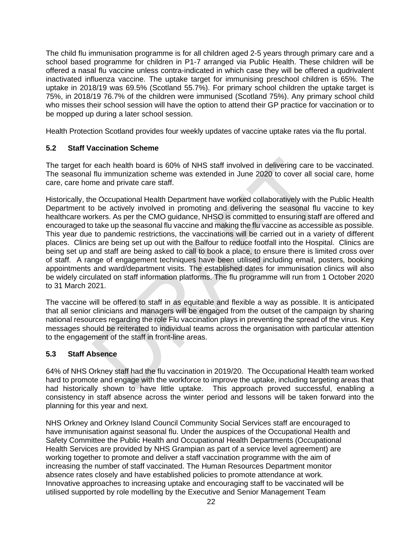The child flu immunisation programme is for all children aged 2-5 years through primary care and a school based programme for children in P1-7 arranged via Public Health. These children will be offered a nasal flu vaccine unless contra-indicated in which case they will be offered a qudrivalent inactivated influenza vaccine. The uptake target for immunising preschool children is 65%. The uptake in 2018/19 was 69.5% (Scotland 55.7%). For primary school children the uptake target is 75%, in 2018/19 76.7% of the children were immunised (Scotland 75%). Any primary school child who misses their school session will have the option to attend their GP practice for vaccination or to be mopped up during a later school session.

Health Protection Scotland provides four weekly updates of vaccine uptake rates via the flu portal.

# **5.2 Staff Vaccination Scheme**

The target for each health board is 60% of NHS staff involved in delivering care to be vaccinated. The seasonal flu immunization scheme was extended in June 2020 to cover all social care, home care, care home and private care staff.

Historically, the Occupational Health Department have worked collaboratively with the Public Health Department to be actively involved in promoting and delivering the seasonal flu vaccine to key healthcare workers. As per the CMO guidance, NHSO is committed to ensuring staff are offered and encouraged to take up the seasonal flu vaccine and making the flu vaccine as accessible as possible. This year due to pandemic restrictions, the vaccinations will be carried out in a variety of different places. Clinics are being set up out with the Balfour to reduce footfall into the Hospital. Clinics are being set up and staff are being asked to call to book a place, to ensure there is limited cross over of staff. A range of engagement techniques have been utilised including email, posters, booking appointments and ward/department visits. The established dates for immunisation clinics will also be widely circulated on staff information platforms. The flu programme will run from 1 October 2020 to 31 March 2021.

The vaccine will be offered to staff in as equitable and flexible a way as possible. It is anticipated that all senior clinicians and managers will be engaged from the outset of the campaign by sharing national resources regarding the role Flu vaccination plays in preventing the spread of the virus. Key messages should be reiterated to individual teams across the organisation with particular attention to the engagement of the staff in front-line areas.

#### **5.3 Staff Absence**

64% of NHS Orkney staff had the flu vaccination in 2019/20. The Occupational Health team worked hard to promote and engage with the workforce to improve the uptake, including targeting areas that had historically shown to have little uptake. This approach proved successful, enabling a consistency in staff absence across the winter period and lessons will be taken forward into the planning for this year and next.

NHS Orkney and Orkney Island Council Community Social Services staff are encouraged to have immunisation against seasonal flu. Under the auspices of the Occupational Health and Safety Committee the Public Health and Occupational Health Departments (Occupational Health Services are provided by NHS Grampian as part of a service level agreement) are working together to promote and deliver a staff vaccination programme with the aim of increasing the number of staff vaccinated. The Human Resources Department monitor absence rates closely and have established policies to promote attendance at work. Innovative approaches to increasing uptake and encouraging staff to be vaccinated will be utilised supported by role modelling by the Executive and Senior Management Team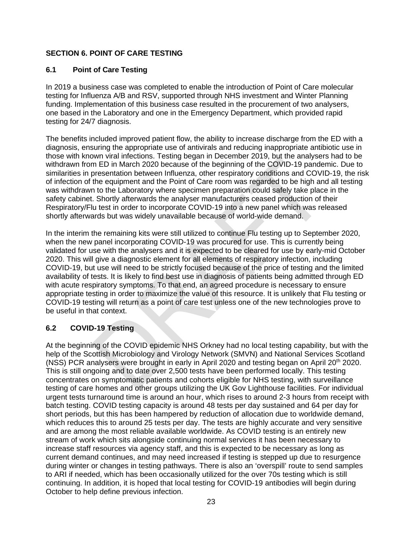# **SECTION 6. POINT OF CARE TESTING**

# **6.1 Point of Care Testing**

In 2019 a business case was completed to enable the introduction of Point of Care molecular testing for Influenza A/B and RSV, supported through NHS investment and Winter Planning funding. Implementation of this business case resulted in the procurement of two analysers, one based in the Laboratory and one in the Emergency Department, which provided rapid testing for 24/7 diagnosis.

The benefits included improved patient flow, the ability to increase discharge from the ED with a diagnosis, ensuring the appropriate use of antivirals and reducing inappropriate antibiotic use in those with known viral infections. Testing began in December 2019, but the analysers had to be withdrawn from ED in March 2020 because of the beginning of the COVID-19 pandemic. Due to similarities in presentation between Influenza, other respiratory conditions and COVID-19, the risk of infection of the equipment and the Point of Care room was regarded to be high and all testing was withdrawn to the Laboratory where specimen preparation could safely take place in the safety cabinet. Shortly afterwards the analyser manufacturers ceased production of their Respiratory/Flu test in order to incorporate COVID-19 into a new panel which was released shortly afterwards but was widely unavailable because of world-wide demand.

In the interim the remaining kits were still utilized to continue Flu testing up to September 2020, when the new panel incorporating COVID-19 was procured for use. This is currently being validated for use with the analysers and it is expected to be cleared for use by early-mid October 2020. This will give a diagnostic element for all elements of respiratory infection, including COVID-19, but use will need to be strictly focused because of the price of testing and the limited availability of tests. It is likely to find best use in diagnosis of patients being admitted through ED with acute respiratory symptoms. To that end, an agreed procedure is necessary to ensure appropriate testing in order to maximize the value of this resource. It is unlikely that Flu testing or COVID-19 testing will return as a point of care test unless one of the new technologies prove to be useful in that context.

# **6.2 COVID-19 Testing**

At the beginning of the COVID epidemic NHS Orkney had no local testing capability, but with the help of the Scottish Microbiology and Virology Network (SMVN) and National Services Scotland (NSS) PCR analysers were brought in early in April 2020 and testing began on April 20<sup>th</sup> 2020. This is still ongoing and to date over 2,500 tests have been performed locally. This testing concentrates on symptomatic patients and cohorts eligible for NHS testing, with surveillance testing of care homes and other groups utilizing the UK Gov Lighthouse facilities. For individual urgent tests turnaround time is around an hour, which rises to around 2-3 hours from receipt with batch testing. COVID testing capacity is around 48 tests per day sustained and 64 per day for short periods, but this has been hampered by reduction of allocation due to worldwide demand, which reduces this to around 25 tests per day. The tests are highly accurate and very sensitive and are among the most reliable available worldwide. As COVID testing is an entirely new stream of work which sits alongside continuing normal services it has been necessary to increase staff resources via agency staff, and this is expected to be necessary as long as current demand continues, and may need increased if testing is stepped up due to resurgence during winter or changes in testing pathways. There is also an 'overspill' route to send samples to ARI if needed, which has been occasionally utilized for the over 70s testing which is still continuing. In addition, it is hoped that local testing for COVID-19 antibodies will begin during October to help define previous infection.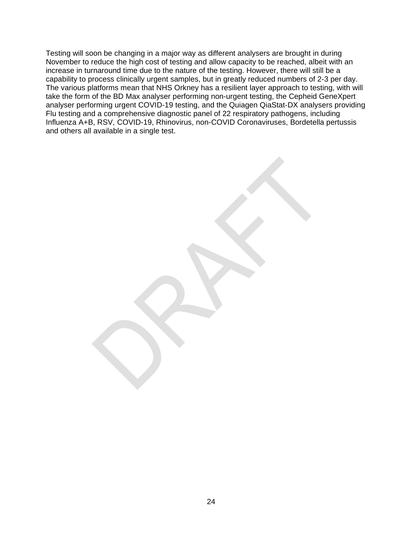Testing will soon be changing in a major way as different analysers are brought in during November to reduce the high cost of testing and allow capacity to be reached, albeit with an increase in turnaround time due to the nature of the testing. However, there will still be a capability to process clinically urgent samples, but in greatly reduced numbers of 2-3 per day. The various platforms mean that NHS Orkney has a resilient layer approach to testing, with will take the form of the BD Max analyser performing non-urgent testing, the Cepheid GeneXpert analyser performing urgent COVID-19 testing, and the Quiagen QiaStat-DX analysers providing Flu testing and a comprehensive diagnostic panel of 22 respiratory pathogens, including Influenza A+B, RSV, COVID-19, Rhinovirus, non-COVID Coronaviruses, Bordetella pertussis and others all available in a single test.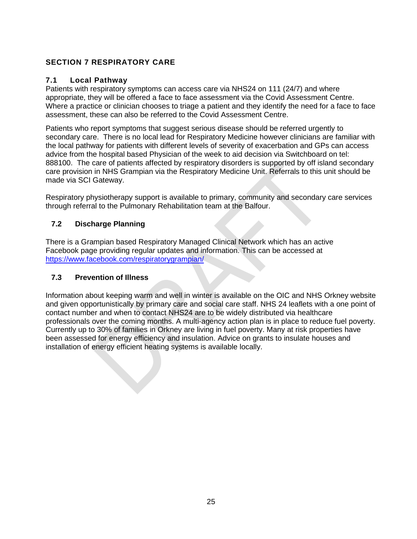# **SECTION 7 RESPIRATORY CARE**

## **7.1 Local Pathway**

Patients with respiratory symptoms can access care via NHS24 on 111 (24/7) and where appropriate, they will be offered a face to face assessment via the Covid Assessment Centre. Where a practice or clinician chooses to triage a patient and they identify the need for a face to face assessment, these can also be referred to the Covid Assessment Centre.

Patients who report symptoms that suggest serious disease should be referred urgently to secondary care. There is no local lead for Respiratory Medicine however clinicians are familiar with the local pathway for patients with different levels of severity of exacerbation and GPs can access advice from the hospital based Physician of the week to aid decision via Switchboard on tel: 888100. The care of patients affected by respiratory disorders is supported by off island secondary care provision in NHS Grampian via the Respiratory Medicine Unit. Referrals to this unit should be made via SCI Gateway.

Respiratory physiotherapy support is available to primary, community and secondary care services through referral to the Pulmonary Rehabilitation team at the Balfour.

# **7.2 Discharge Planning**

There is a Grampian based Respiratory Managed Clinical Network which has an active Facebook page providing regular updates and information. This can be accessed at <https://www.facebook.com/respiratorygrampian/>

#### **7.3 Prevention of Illness**

Information about keeping warm and well in winter is available on the OIC and NHS Orkney website and given opportunistically by primary care and social care staff. NHS 24 leaflets with a one point of contact number and when to contact NHS24 are to be widely distributed via healthcare professionals over the coming months. A multi-agency action plan is in place to reduce fuel poverty. Currently up to 30% of families in Orkney are living in fuel poverty. Many at risk properties have been assessed for energy efficiency and insulation. Advice on grants to insulate houses and installation of energy efficient heating systems is available locally.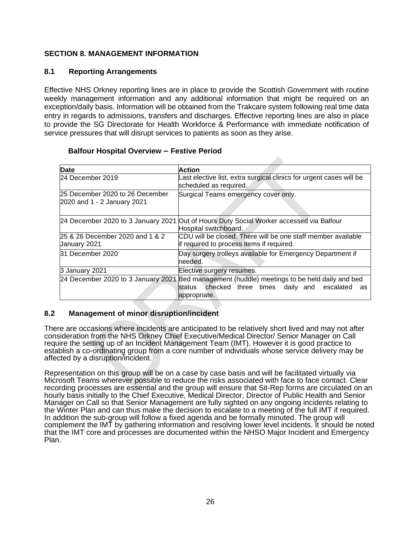## **SECTION 8. MANAGEMENT INFORMATION**

#### **8.1 Reporting Arrangements**

Effective NHS Orkney reporting lines are in place to provide the Scottish Government with routine weekly management information and any additional information that might be required on an exception/daily basis. Information will be obtained from the Trakcare system following real time data entry in regards to admissions, transfers and discharges. Effective reporting lines are also in place to provide the SG Directorate for Health Workforce & Performance with immediate notification of service pressures that will disrupt services to patients as soon as they arise.

#### **Balfour Hospital Overview – Festive Period**

| Date                                                           | Action                                                                                                                            |  |  |  |  |
|----------------------------------------------------------------|-----------------------------------------------------------------------------------------------------------------------------------|--|--|--|--|
| 24 December 2019                                               | Last elective list, extra surgical clinics for urgent cases will be<br>scheduled as required.                                     |  |  |  |  |
| 25 December 2020 to 26 December<br>2020 and 1 - 2 January 2021 | Surgical Teams emergency cover only.                                                                                              |  |  |  |  |
| 24 December 2020 to 3 January 2021                             | Out of Hours Duty Social Worker accessed via Balfour<br>Hospital switchboard.                                                     |  |  |  |  |
| 25 & 26 December 2020 and 1 & 2<br>January 2021                | CDU will be closed. There will be one staff member available<br>if required to process items if required.                         |  |  |  |  |
| 31 December 2020                                               | Day surgery trolleys available for Emergency Department if<br>needed.                                                             |  |  |  |  |
| 3 January 2021                                                 | Elective surgery resumes.                                                                                                         |  |  |  |  |
| 24 December 2020 to 3 January 2021                             | Bed management (huddle) meetings to be held daily and bed<br>status checked three times daily and escalated<br>as<br>appropriate. |  |  |  |  |

#### **8.2 Management of minor disruption/incident**

There are occasions where incidents are anticipated to be relatively short lived and may not after consideration from the NHS Orkney Chief Executive/Medical Director/ Senior Manager on Call require the setting up of an Incident Management Team (IMT). However it is good practice to establish a co-ordinating group from a core number of individuals whose service delivery may be affected by a disruption/incident.

Representation on this group will be on a case by case basis and will be facilitated virtually via Microsoft Teams wherever possible to reduce the risks associated with face to face contact. Clear recording processes are essential and the group will ensure that Sit-Rep forms are circulated on an hourly basis initially to the Chief Executive, Medical Director, Director of Public Health and Senior Manager on Call so that Senior Management are fully sighted on any ongoing incidents relating to the Winter Plan and can thus make the decision to escalate to a meeting of the full IMT if required. In addition the sub-group will follow a fixed agenda and be formally minuted. The group will complement the IMT by gathering information and resolving lower level incidents. It should be noted that the IMT core and processes are documented within the NHSO Major Incident and Emergency Plan.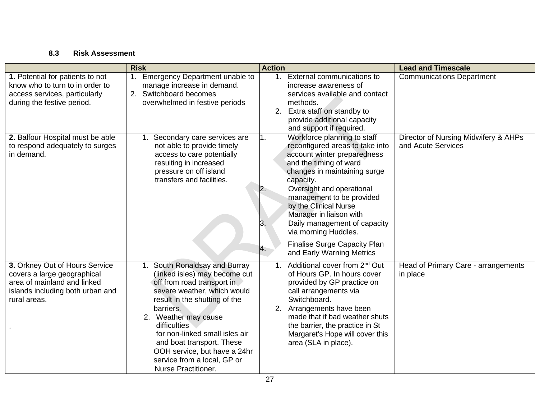# **8.3 Risk Assessment**

|                                                                                                                                                  | <b>Risk</b>                                                                                                                                                                                                                                                                                                                                                                | <b>Lead and Timescale</b>                                                                                                                                                                                                                                                                                                                                                                                                              |                                                            |  |
|--------------------------------------------------------------------------------------------------------------------------------------------------|----------------------------------------------------------------------------------------------------------------------------------------------------------------------------------------------------------------------------------------------------------------------------------------------------------------------------------------------------------------------------|----------------------------------------------------------------------------------------------------------------------------------------------------------------------------------------------------------------------------------------------------------------------------------------------------------------------------------------------------------------------------------------------------------------------------------------|------------------------------------------------------------|--|
| 1. Potential for patients to not<br>know who to turn to in order to<br>access services, particularly<br>during the festive period.               | 1. Emergency Department unable to<br>manage increase in demand.<br>2. Switchboard becomes<br>overwhelmed in festive periods                                                                                                                                                                                                                                                | 1. External communications to<br>increase awareness of<br>services available and contact<br>methods.<br>2. Extra staff on standby to<br>provide additional capacity<br>and support if required.                                                                                                                                                                                                                                        | Communications Department                                  |  |
| 2. Balfour Hospital must be able<br>to respond adequately to surges<br>in demand.                                                                | Secondary care services are<br>not able to provide timely<br>access to care potentially<br>resulting in increased<br>pressure on off island<br>transfers and facilities.                                                                                                                                                                                                   | Workforce planning to staff<br>1.<br>reconfigured areas to take into<br>account winter preparedness<br>and the timing of ward<br>changes in maintaining surge<br>capacity.<br>Oversight and operational<br>2.<br>management to be provided<br>by the Clinical Nurse<br>Manager in liaison with<br>Daily management of capacity<br>З.<br>via morning Huddles.<br><b>Finalise Surge Capacity Plan</b><br>4.<br>and Early Warning Metrics | Director of Nursing Midwifery & AHPs<br>and Acute Services |  |
| 3. Orkney Out of Hours Service<br>covers a large geographical<br>area of mainland and linked<br>islands including both urban and<br>rural areas. | South Ronaldsay and Burray<br>(linked isles) may become cut<br>off from road transport in<br>severe weather, which would<br>result in the shutting of the<br>barriers.<br>2. Weather may cause<br>difficulties<br>for non-linked small isles air<br>and boat transport. These<br>OOH service, but have a 24hr<br>service from a local, GP or<br><b>Nurse Practitioner.</b> | 1. Additional cover from 2 <sup>nd</sup> Out<br>of Hours GP. In hours cover<br>provided by GP practice on<br>call arrangements via<br>Switchboard.<br>2. Arrangements have been<br>made that if bad weather shuts<br>the barrier, the practice in St<br>Margaret's Hope will cover this<br>area (SLA in place).                                                                                                                        | Head of Primary Care - arrangements<br>in place            |  |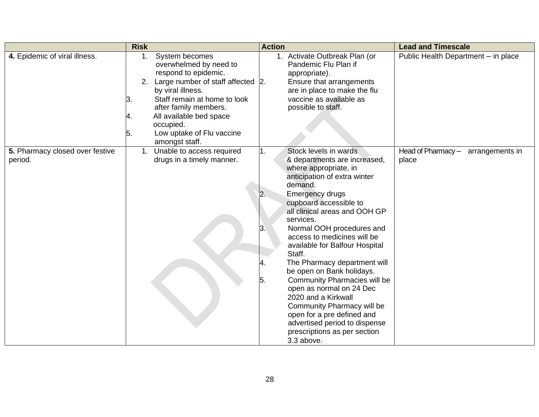|                                            | <b>Risk</b>          |                                                                                                                                                                                                                                                                                | <b>Action</b>              |                                                                                                                                                                                                                                                                                                                                                                                                                                                                                                                                                                                                                                       | <b>Lead and Timescale</b>                   |
|--------------------------------------------|----------------------|--------------------------------------------------------------------------------------------------------------------------------------------------------------------------------------------------------------------------------------------------------------------------------|----------------------------|---------------------------------------------------------------------------------------------------------------------------------------------------------------------------------------------------------------------------------------------------------------------------------------------------------------------------------------------------------------------------------------------------------------------------------------------------------------------------------------------------------------------------------------------------------------------------------------------------------------------------------------|---------------------------------------------|
| 4. Epidemic of viral illness.              | 1.<br>З.<br>4.<br>5. | System becomes<br>overwhelmed by need to<br>respond to epidemic.<br>2. Large number of staff affected  2.<br>by viral illness.<br>Staff remain at home to look<br>after family members.<br>All available bed space<br>occupied.<br>Low uptake of Flu vaccine<br>amongst staff. |                            | 1. Activate Outbreak Plan (or<br>Pandemic Flu Plan if<br>appropriate).<br>Ensure that arrangements<br>are in place to make the flu<br>vaccine as available as<br>possible to staff.                                                                                                                                                                                                                                                                                                                                                                                                                                                   | Public Health Department - in place         |
| 5. Pharmacy closed over festive<br>period. |                      | 1. Unable to access required<br>drugs in a timely manner.                                                                                                                                                                                                                      | 1.<br>2.<br>3.<br>4.<br>5. | Stock levels in wards<br>& departments are increased,<br>where appropriate, in<br>anticipation of extra winter<br>demand.<br><b>Emergency drugs</b><br>cupboard accessible to<br>all clinical areas and OOH GP<br>services.<br>Normal OOH procedures and<br>access to medicines will be<br>available for Balfour Hospital<br>Staff.<br>The Pharmacy department will<br>be open on Bank holidays.<br><b>Community Pharmacies will be</b><br>open as normal on 24 Dec<br>2020 and a Kirkwall<br>Community Pharmacy will be<br>open for a pre defined and<br>advertised period to dispense<br>prescriptions as per section<br>3.3 above. | Head of Pharmacy - arrangements in<br>place |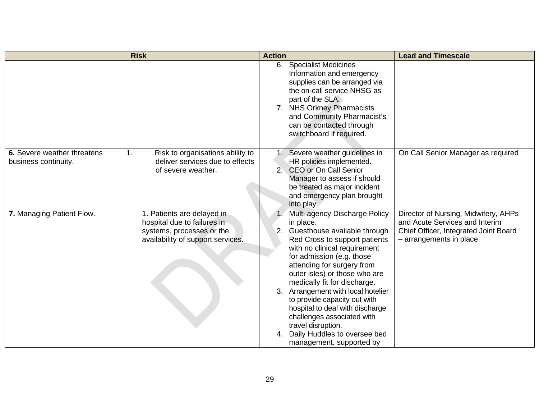|                                                     | <b>Risk</b>                                                                                                                 | <b>Action</b>                                                                                                                                                                                                                                                                                                                                                                                                                                                                                          | <b>Lead and Timescale</b>                                                                                                                  |
|-----------------------------------------------------|-----------------------------------------------------------------------------------------------------------------------------|--------------------------------------------------------------------------------------------------------------------------------------------------------------------------------------------------------------------------------------------------------------------------------------------------------------------------------------------------------------------------------------------------------------------------------------------------------------------------------------------------------|--------------------------------------------------------------------------------------------------------------------------------------------|
|                                                     |                                                                                                                             | 6. Specialist Medicines<br>Information and emergency<br>supplies can be arranged via<br>the on-call service NHSG as<br>part of the SLA.<br>7. NHS Orkney Pharmacists<br>and Community Pharmacist's<br>can be contacted through<br>switchboard if required.                                                                                                                                                                                                                                             |                                                                                                                                            |
| 6. Severe weather threatens<br>business continuity. | Risk to organisations ability to<br>1.<br>deliver services due to effects<br>of severe weather.                             | 1. Severe weather guidelines in<br>HR policies implemented.<br>2. CEO or On Call Senior<br>Manager to assess if should<br>be treated as major incident<br>and emergency plan brought<br>into play.                                                                                                                                                                                                                                                                                                     | On Call Senior Manager as required                                                                                                         |
| 7. Managing Patient Flow.                           | 1. Patients are delayed in<br>hospital due to failures in<br>systems, processes or the<br>availability of support services. | Multi agency Discharge Policy<br>in place.<br>2. Guesthouse available through<br>Red Cross to support patients<br>with no clinical requirement<br>for admission (e.g. those<br>attending for surgery from<br>outer isles) or those who are<br>medically fit for discharge.<br>3. Arrangement with local hotelier<br>to provide capacity out with<br>hospital to deal with discharge<br>challenges associated with<br>travel disruption.<br>4. Daily Huddles to oversee bed<br>management, supported by | Director of Nursing, Midwifery, AHPs<br>and Acute Services and Interim<br>Chief Officer, Integrated Joint Board<br>- arrangements in place |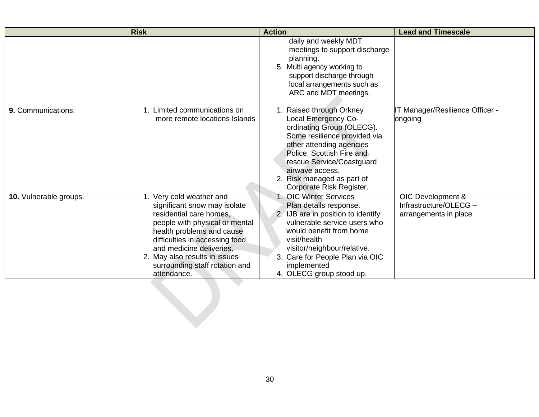|                        | <b>Risk</b>                                                                                                                                                                                                                                                                                        | <b>Action</b>                                                                                                                                                                                                                                                                   | <b>Lead and Timescale</b>                                            |
|------------------------|----------------------------------------------------------------------------------------------------------------------------------------------------------------------------------------------------------------------------------------------------------------------------------------------------|---------------------------------------------------------------------------------------------------------------------------------------------------------------------------------------------------------------------------------------------------------------------------------|----------------------------------------------------------------------|
|                        |                                                                                                                                                                                                                                                                                                    | daily and weekly MDT<br>meetings to support discharge<br>planning.<br>5. Multi agency working to<br>support discharge through<br>local arrangements such as<br>ARC and MDT meetings.                                                                                            |                                                                      |
| 9. Communications.     | 1. Limited communications on<br>more remote locations Islands                                                                                                                                                                                                                                      | 1. Raised through Orkney<br>Local Emergency Co-<br>ordinating Group (OLECG).<br>Some resilience provided via<br>other attending agencies<br>Police, Scottish Fire and<br>rescue Service/Coastguard<br>airwave access.<br>2. Risk managed as part of<br>Corporate Risk Register. | IT Manager/Resilience Officer -<br>ongoing                           |
| 10. Vulnerable groups. | 1. Very cold weather and<br>significant snow may isolate<br>residential care homes,<br>people with physical or mental<br>health problems and cause<br>difficulties in accessing food<br>and medicine deliveries.<br>2. May also results in issues<br>surrounding staff rotation and<br>attendance. | 1. OIC Winter Services<br>Plan details response.<br>2. IJB are in position to identify<br>vulnerable service users who<br>would benefit from home<br>visit/health<br>visitor/neighbour/relative.<br>3. Care for People Plan via OIC<br>implemented<br>4. OLECG group stood up.  | OIC Development &<br>Infrastructure/OLECG -<br>arrangements in place |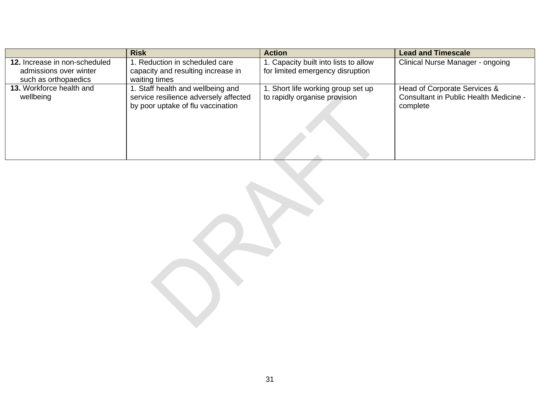|                                       | <b>Risk</b>                                                                                                    | <b>Action</b>                                                       | <b>Lead and Timescale</b>                                                          |
|---------------------------------------|----------------------------------------------------------------------------------------------------------------|---------------------------------------------------------------------|------------------------------------------------------------------------------------|
| 12. Increase in non-scheduled         | . Reduction in scheduled care                                                                                  | 1. Capacity built into lists to allow                               | Clinical Nurse Manager - ongoing                                                   |
| admissions over winter                | capacity and resulting increase in                                                                             | for limited emergency disruption                                    |                                                                                    |
| such as orthopaedics                  | waiting times                                                                                                  |                                                                     |                                                                                    |
| 13. Workforce health and<br>wellbeing | . Staff health and wellbeing and<br>service resilience adversely affected<br>by poor uptake of flu vaccination | 1. Short life working group set up<br>to rapidly organise provision | Head of Corporate Services &<br>Consultant in Public Health Medicine -<br>complete |